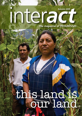**Autumn 2009**

# inter*act*

*The magazine of*

# this land is our land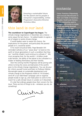

**Ensuring a sustainable future for the planet and its people is everyone's responsibility, writes Progressio's Executive Director Christine Allen**

# this land is our land

**The countdown to Copenhagen has begun.** The climate change negotiations in December are a chance – some argue the last chance – for global leaders to agree a set of targets to tackle climate change.

If world leaders were to waste this chance, the implications for the planet, and particularly the poorest people on it, would be severe.

In his recent encyclical letter, Pope Benedict XVI reminded Catholics of our "grave duty" to hand on the earth to future generations in such a condition that they can "worthily inhabit it and continue to cultivate it". We must recognise that, for the world's 1.4 billion smallscale farmers, the ability of the planet to be cultivated is a matter of feeding themselves and their families.

Over the coming months Progressio will be joining with others to bring the voices and demands of the world's poor to the climate change negotiations. You can do your bit: inform yourself (come and listen to Professor Mohan Munasinghe speak on sustainable development and climate change at the Progressio AGM on 19 October), send off a Just Add Water campaign card or organise people locally to sign up, and make plans to come to the march for a safe climate future in London on 5 December.

It's vital that ordinary people show their concern for this issue. There are lots of things to do – whatever you do, do something!

Cenistine

# contents

**Cover: Francisco Chipantasig and Consuelo Murminacho in their corn fields in Pululahua, Ecuador. Small-scale farmers in this community used to struggle with access to water, which was being diverted to large haciendas and agricultural estates. Working with Progressio development worker Germán Gálvez, the people of Pululahua built new water storage tanks to improve their access to water – and so boost their harvest.**  *Photo: Santiago Serrano/ Majority World*

- **4 voices** hopes for East Timor
- **6 insight** farmers in Ecuador
- **10 action** Just Add Water
- **12 viewpoint** community in Malawi
- **14 Q&A** Prachanda Man Shrestha
- **16 reflection** values and responsibilities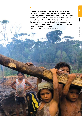# focus

**Children play on a fallen tree, taking a break from their day's work of moving stones for their neighbour's new house. Many families in Chuwitayo, Ecuador, are unable to feed themselves with their crops alone, and are forced to sell the trees on their land for timber to make ends meet. The small price they receive from intermediaries may help them survive the dry season, but the logs are later sold on, marked up by 1,000% or more.**

*Photo: Santiago Serrano/Majority World*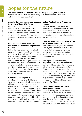# hopes for the future

**Ten years on from their historic vote for independence, the people of East Timor are at a turning point. They have their freedom – but how will they make best use of it?**

### **Antonio Guterres, programme manager for the East Timor NGO Forum**

My hope for the future is that our government establishes justice in East Timor. Our people would like to see an international tribunal for the people who were involved in crimes. We would like to see good governance and a system in place for justice.

# **Demetrio de Carvalho, executive director of environmental organisation Haburas**

Before the Indonesians were kicked out, our enemy was very clear. Today it's very complicated. Poverty is one of our common enemies. Environmental degradation is one of our common enemies. If we're thinking about our future generations, we have to struggle with all these things. East Timor is a small island nation and we are very dependent on our limited resources. The only thing that can make our future sustainable is preserving nature, and conserving ecology.

# **Nick Molyneux, Progressio development worker with Haburas**

What needs to be done is job creation and giving youth hope and purpose. Because at the moment, a lot of people who are unemployed don't have the opportunity to have an occupation, don't have skills, don't have a very good academic education. So my hope is that the government can create more opportunities for youth, which will create a more stable society, and a lot less tension within and between communities.

# **Melqui Aquino Ribeiro Fernandes, student**

My hope for East Timor is that the government gives opportunities to people in the community – to help them to develop their own skills so that they can improve their lives and get jobs in order to survive in the future.

# **Francisca Alves Taolin, advocacy officer for women's network Rede Feto**

Now is the opportunity for East Timorese women, and we need to encourage each other to fulfil this opportunity. More women need to get involved, so that people know that women can participate in development.

# **Domingas Vilanova Sequeira, Progressio East Timor project officer**

My personal hope is that the government will try to minimise the poverty in East Timor, because there are people living on under a dollar a day, which is really sad. I'm also hoping… Well, I'm having a baby, so I hope that in the future, my kids won't have to go to another country to get a better education or healthcare. I hope that we will have it in East Timor.

# **Weng (Maria) Ladaga, Progressio development worker**

I hope that ten years down the road, more citizens, more communities, will be able to engage in democratic processes. I also hope that they will not forget the lessons from the past. There's been so much tragedy in this country. I hope that they will not forget, so that it will not happen again.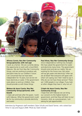

### **Afonso Coreia, Nau Ner Community Group (pictured, with red cap)**

I work as a farmer. We are currently taking the opportunity to work with a local NGO, Haburas. We are from Nau Ner Community Group, and are working to produce salt, and plant trees for our children's future. I am concerned that we have been independent for 10 years, but we do not have electricity or water. If the government cares about us and our children, they should provide us with these things.

# **Mateus de Jesus Coreia, Nau Ner Community Group (pictured, with beard)**

I make salt and look after the goats. I work with Haburas. What the government could do for my community is provide electricity and water.

# **Paul Alves, Nau Ner Community Group**

Since independence nothing has changed. We have asked the government for water and electricity many times. The government should come and see our reality. We are working for the future now. But when will we get water and electricity? After we are all dead? Not everyone will agree with what I am saying, but I feel I need to say it. Why do we not have these services? There are 1,000 people in our village. If you look at other villages they have it, why not us?

# **Crispin de Jesus Coreia, Nau Ner Community Group**

I hope that with Haburas we can bring our concerns to the highest levels of government, and that they will listen to our concerns. And, as a young person, I am asking for job opportunities.

*Interviews by Progressio staff members Claire Schultz and David Tanner, who visited East Timor in July and August 2009. Photo by Claire Schultz*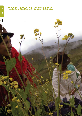# this land is our land

 $\overline{6}$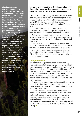**High in the Andean grasslands, indigenous women from the Ecuadorian community of Apahua work their fields. At over 4,000m the settlement is one of the highest in Ecuador. Women here have been working with Progressio development workers to recuperate native varieties of potatoes and grasses in order to improve crop yields and protect water resources. What began initially as a group of 17 'seedsavers' has grown into a local movement of over 150 women working together to preserve traditional knowledge and techniques as well as their way of life. According to Fabiola, the local coordinator of the project: "Rural people eat, breathe and sleep agriculture. We depend on and live from our farms... We will continue to do good things [together]. We have noticed that when women work together the family benefits."**

# **For farming communities in Ecuador, development doesn't just mean moving forward – it also means going back to their roots, writes Brie O'Keefe**

"When I first arrived in Intag, the people used to sell their crops of yucca to buy things like tinned spaghetti or rice instead of eating them." So said Progressio development worker Myriam Salazar, as we climbed a steep path towards the village of El Cristal in the region of Intag, Ecuador.

"One of the first things I did was take out that intermediary step and encourage the people to eat the food they grew – to feel pride in their traditional diet."

Pride is in no short supply now in the community, where we were greeted warmly by villagers eager to show us how agro-ecology has benefited both their farms and their families.

"Before we didn't know how to care for our land properly – we burnt the fields, we used a lot of chemical fertilisers, we made so many mistakes. Then the earth became sterile – so we became organic and have seen so many benefits," said Enrique Simbana, resident of El Cristal. "Thanks to the plants we live here peacefully, we only buy salt and alcohol."

# **Independence**

This newfound independence has even attracted city dwellers to return to the countryside – a rare example of reverse urbanisation in a country plagued by rural residents abandoning their land. Eduardo Arias and his family left their life in Ecuador's capital, Quito, after struggling to make ends meet in the overcrowded and poverty-stricken streets. "We missed the countryside," he said. "We realised that even though we are still poor here, we have more freedom."

"I wake up everyday at 6am, and work until 4pm, when it gets dark," Soila Baraja told me. "It's really hard work – we hardly ever have a day off. But I don't mind, as I have everything I need here."

The residents of El Cristal are lucky to have this independence, as small-scale farmers all over the world are losing the same battles every year: unpredictable harvests, pressure to monocultivate, lack of access to water or irrigation and expensive fertilisers mean more and more are falling through the cracks and being forced to leave their lands and head to the city to try and eke out a living. ▶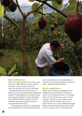

# **Self-sufficiency**

This is not what we find in El Cristal, as we arrive to a table laid full of local varieties of potato, yucca, bananas and fruit. Later we are taken on tours of the fields – distinguished by their patchworks of banana, yucca and potato plants planted all together to help balance soil nutrients and prevent pest outbreaks. These techniques have helped residents improve soil that had been exhausted through previous unsustainable techniques.

"We understand now that sustainability and independence must be protected. We

can't use chemicals and contaminate our food as we need to be healthy to work our land," explained Pedro Bolaños.

# **Good neighbours**

Pedro and his family are residents of the neighbouring community of El Paraiso, where we are taken for lunch. In a shaded porch of the farmhouse we sit in a circle and talk. Around us, the children chase chickens and the women who are not active farmers run round collecting enough dishes, silverware and soup bowls to feed lunch to a group of 20. In the dark and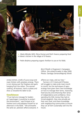

▲ *María Méndez (left), Elena Gomez and Ruth Vivanco preparing food in María's kitchen in the village of El Paraiso.*

◀ *Pedro Bolaños preparing organic fertiliser to use on his fields.*

smoky kitchen, smells of yucca soup and roast chicken with potatoes emerge. There is corn drying over the fireplace and garlic hanging from the rafters. The women cooking, all business, hand us plates and shoo us towards the table to eat.

# **Confidence**

"If we had one message for leaders at Copenhagen it would be to protect the environment," says Enrique as he finishes lunch and prepares himself for an afternoon in the fields. "We all breathe the same air, pollution affects everyone. It *Brie O'Keefe is Progressio's Campaigns Officer. She visited Ecuador in May 2009. Photos: Santiago Serrano/Majority World*

affects our crops, and our lives."

Farmers in El Cristal and El Paraiso still struggle to make ends meet month to month, but the techniques of agroecology have given them new knowledge on how to manage their farms, improving food security and enhancing their sense of independence and confidence. Once spending the little money they had on tinned spaghetti, they now proudly eat their own food, and share knowledge with neighbouring communities to ensure they can all farm sustainably well into the future.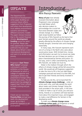# UPDATE

The Department for International Development's white paper *Building our common future* reflects suggestions from Progressio and others that development must address environmental concerns and embrace different economic models. The paper stresses however that in the current financial climate, **development funding** cannot be taken for granted. Please take every opportunity to remind politicians that you care deeply about Britain's role in international development and want it to remain a top priority.

Progressio's **East Timor: Who Cares?** campaign culminated in a photo exhibition at the Houses of Parliament at which a collage of supporter and campaigner photos was presented to Foreign Office minister Ivan Lewis. The UK government has pledged to support East Timor's efforts to build a strong and just society.

Check out our new blog **Poverty Bites** and get your teeth into development issues: go to http:// progressio.typepad.co.uk/ povertybites/

# Introducing…

# Mrs Fanny Fawcett!

**Many of you** have already received information about Progressio's new campaign *Just Add Water* which asks decision-makers to acknowledge the crucial link that exists between water and climate change. In a 1950s style recipe booklet we follow



the journey of Mrs Fawcett as she learns that poor farmers around the world are already greatly affected by the effects of climate change: namely drought, torrential rains and changing seasonality.

In many ways, Mrs Fawcett represents each one of us living in the North who cares about social justice issues. With limited time, money and information we each try to ensure we make the best decisions we can to keep our world a place characterised by fairness and justice. It's not easy, and it's often overwhelming, but like Mrs Fawcett, we realise we must try.

Water is the medium through which the effects of climate change will be felt around the world. We would ask all Progressio supporters to take the time to fill in the Just Add Water campaign postcard and send it to their MPs, but also to get their friends and family involved in this issue.

To help you do this, we've launched the **climate change cocoa challenge** – order an action pack now, and help spread the word about water and climate change! Using the tools provided in the action pack, in the time it takes to make a cup of cocoa, you and your family, friends or co-workers will have learned more about this important issue, and engaged to make a real difference for farmers in the developing world.

To order your **climate change cocoa challenge action pack** call Progressio or email campaigns@progressio.org.uk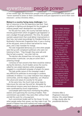**action**

# eyewitness: people power

**A few weeks ago, the Malawian people voted against politicians who people said "never seemed to listen to their constituents and just appeared to serve their own interests", writes Christine Allen...**

**Malawi is a country facing many challenges**, from lack of resources to low life expectancy (see box). Years of political in-fighting and disregard for the struggles of ordinary people mean development was stalled.

For the past four years, the country had been led by a minority government which struggled to get legislation or even a budget through parliament. This time, the people wanted a government that could deliver improvements in their lives, and voted resoundingly for President Bingu wa Mutharika's Democratic Progressive Party. It was a routing of the old guard, some of whom had served for many years, and a clear mandate for change.

The vote invigorated democracy at a time when people were fed up with complacent politicians who were not listening to them. "They thought they were safe and they've had a surprise," one voter told me.

The election also showed how civil society, and faith communities in particular, can play an active role in achieving change.

Conscious of real concerns that there would be violence during the elections, church leaders across the country called for non-violent elections while congregations engaged in a coordinated campaign of prayers for peace.

The high profile nature of this campaign made it very difficult for politicians to encourage or condone outbreaks of violence. It is a clear indication how religious communities, and the religious leadership, can influence the culture and values of a society for the good.

At the same time, the church took active steps to help ensure the vote was free and fair. Alongside the international missions were local observers, many of whom were coordinated by church organisations.

Local people spent long hours monitoring the polling stations and supervising the counting of ballots. Their commitment was evident: they were often without food and did this work for a tiny payment.

Such commitment bodes well for the future: for only when people realise their power, can they make it real. The people of Malawi have both realised and made real their power – and are ready now to make what many are calling "a new beginning".

Since 1990, Malawi has ranked amongst the world's 20 least developed nations. Life expectancy is just 46 years, child mortality is high and an estimated 1 million Malawians – 12% of the population – are thought to be living with HIV. The biggest dayto-day concern for ordinary Malawians, 52% of whom live on less than \$1 a day, is feeding their families. This is a predominantly rural society where a staggering 84% live outside urban areas, farming an average plot of just 0.5 hectares per household.

*Christine Allen is Progressio's Executive Director. She visited Malawi in May, shortly after the presidential elections.*

**11**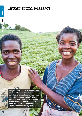# letter from Malawi

**Margaret (left) and Grace are small-scale farmers in Nchisi district. Both have switched to organic farming in response to the high cost of chemical fertilisers and pesticides. "We are now in control of our farming," says Grace. "We have more food to eat, and more food to sell."** *Photo: Marcus Perkins/Progressio*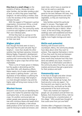**Eliza lives in a small village** on the outskirts of Selima. Along with some other families, she has been tending a plot of land, on which they grow Sweet Red Sorghum. As well as being a mother, Eliza is also the secretary of the committee that oversees the plot.

With the support of Progressio's partner organisation, Environment Africa, a small Malawian NGO, they are assessing the benefits of this crop. The community works a common plot together as well as having their own individual plots.

All that they learn as a group on the common plot they then put into practice on their own land.

# **Higher yield**

Even though the birds seem to love it, they hope that this plot will yield 7kg of Sorghum – more than double the other varieties they had been growing. Innocent Bidong Ogaba, Progressio's development worker with Environment Africa, has been working with communities like these to help them to grow crops that will be more marketable.

There is a lot of maize grown in Malawi, but the quality is diminishing and the crop often fails, with disastrous effects. Maize needs a lot of water and Malawi's rainy season is getting shorter – just one illustration of how Malawi is suffering the effects of climate change. Red Sorghum is a more drought-resistant crop and the higher yield will bring more money to the community.

### **Market forces**

Innocent's work focuses on identifying the gaps in the market for potential crops that could grow here, or for products of these crops. On another communal plot we visited, people were growing *moringa*, a tree with nutritious leaves and seeds which can produce oil; *jetropha*, a tree whose seeds produce oil for fuel and which is also used for fencing to tackle soil erosion; and

*neem* trees, which have an essential oil that can be used as a pesticide.

The trees are nitrogen fixing, so are good for the land. Between the trees, they are also growing groundnuts and some vegetables, so they are maximising the potential.

Sixty families started this particular project in January. They began with meetings to discuss what they wanted to do and started the plot in March. When I went, at the end of May, the *jetropha* seedlings were well established and there were little shelters of sticks around the slightly more fragile *moringa* and *neem* trees.

### **Skills and potential**

Working with Innocent and his counterpart, Mercy, the community already have ideas about what they want to achieve. They organise themselves in terms of how they work the land and between themselves manage the whole project. Every month they evaluate how they have done and address any issues. Innocent is bringing a lot of information and skills to the community about how they can access markets and ensure they get a good price for their produce and work.

### **Community care**

In the face of drought and other climate change impact, food production is a challenge. Many people go hungry. But food security is only one aspect – for the long term you need to care for the environment too, and build up the skills and potential of the local community.

That's why markets are important – people can use products and sell them too. Barbara, from Environment Africa, told me: "We are looking for a transformation of this village." Who would have thought all that could come from just one field?

*Christine Allen is Progressio's Executive Director. She visited Malawi in May 2009.*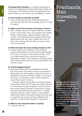# **Q: How would you describe yourself?**

A: I am a simple, peace-loving, straightforward person who likes working with and for people who are in need of support.

# **Q: What is your first memory of arriving in Yemen?**

A: After I arrived I went to an internet café near my hotel. It was a small, smoky room, full of people with swollen cheeks, carrying sharp weapons (Jambia traditional swords). I was frightened and wondered what terrible disease these men had. Later I realised that most of them were chewing Qat (the leaves of a plant which acts as a stimulant).

# **Q: What has been the most exciting moment so far?**

A: I had an opportunity to address a mass wedding ceremony attended by more than ten thousand people. On the spot I was given a few minutes to talk. I took it as a great opportunity, introducing myself as a development worker from Progressio and talking briefly about HIV and AIDS and how it can be prevented in the context of Islam.

# **Q: And the biggest lesson?**

A: My partner organisation has enlightened attitudes, but society here is perceived to be very conservative in talking about sex and sexuality. Certain information or approaches are seen as difficult to apply in the context of Yemen, so sometimes it takes time for people to accept these ways of working.

However, despite strong stigma and discrimination, some people living with HIV have gone public and tried to form groups and gain recognition. We have found peer-to-peer groups have been a great way of raising awareness and disseminating information – whether these be fishermen, drivers, barbers, or faith leaders. Indeed faith leaders have quickly realised that they have an important role to play and have understood the need for a comprehensive approach to prevention.

# **Q. What is your favourite motto or saying?**

A: "Love all, serve all."

# Prachanda Man Shrestha **Yemen**

**Prachanda (centre) discussing activities during Ramadan for people living with HIV with Hatim Asamiry (left), an** *imam* **of Al Athnan mosque, and Abdo Ali Mansoob, Director of Progressio partner organisation Abu Musa Al Ashary. They are standing outside the Arrhgman mosque where Mr Mansoob preaches.** *Photo: Abdul Jalel Almarbashy*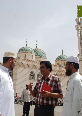